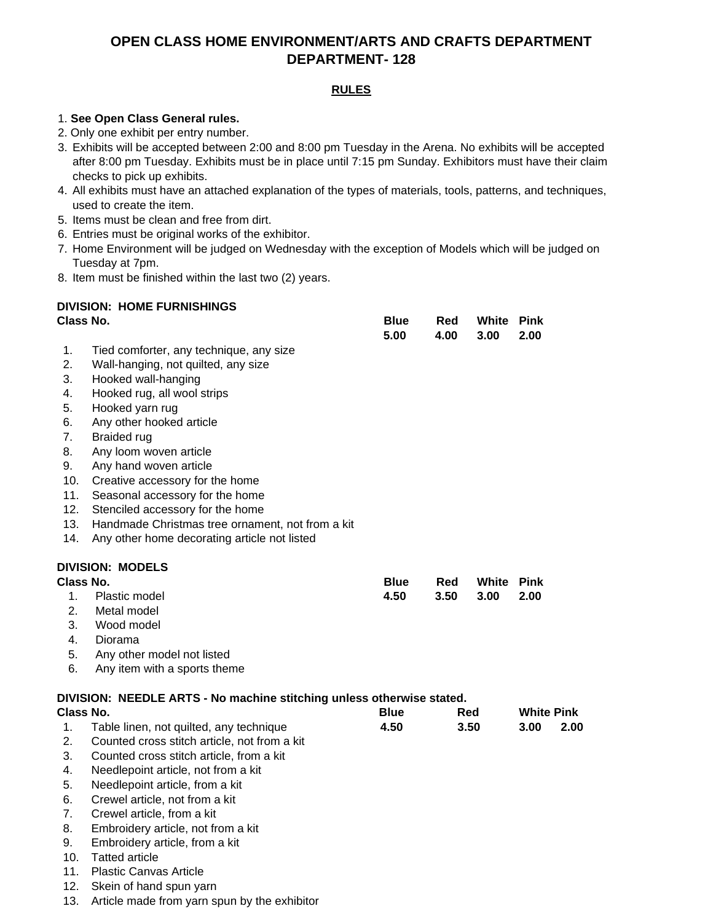# **OPEN CLASS HOME ENVIRONMENT/ARTS AND CRAFTS DEPARTMENT DEPARTMENT- 128**

## **RULES**

### 1. **See Open Class General rules.**

- 2. Only one exhibit per entry number.
- 3. Exhibits will be accepted between 2:00 and 8:00 pm Tuesday in the Arena. No exhibits will be accepted after 8:00 pm Tuesday. Exhibits must be in place until 7:15 pm Sunday. Exhibitors must have their claim checks to pick up exhibits.
- 4. All exhibits must have an attached explanation of the types of materials, tools, patterns, and techniques, used to create the item.
- 5. Items must be clean and free from dirt.
- 6. Entries must be original works of the exhibitor.
- 7. Home Environment will be judged on Wednesday with the exception of Models which will be judged on Tuesday at 7pm.
- 8. Item must be finished within the last two (2) years.

# **DIVISION: HOME FURNISHINGS**

| <b>Class No.</b> |                                                                       | <b>Blue</b><br>5.00 | Red<br>4.00 | White<br>3.00 | <b>Pink</b><br>2.00 |  |
|------------------|-----------------------------------------------------------------------|---------------------|-------------|---------------|---------------------|--|
| 1.               | Tied comforter, any technique, any size                               |                     |             |               |                     |  |
| 2.               | Wall-hanging, not quilted, any size                                   |                     |             |               |                     |  |
| 3.               | Hooked wall-hanging                                                   |                     |             |               |                     |  |
| 4.               | Hooked rug, all wool strips                                           |                     |             |               |                     |  |
| 5.               | Hooked yarn rug                                                       |                     |             |               |                     |  |
| 6.               | Any other hooked article                                              |                     |             |               |                     |  |
| 7.               | <b>Braided rug</b>                                                    |                     |             |               |                     |  |
| 8.               | Any loom woven article                                                |                     |             |               |                     |  |
| 9.               | Any hand woven article                                                |                     |             |               |                     |  |
| 10.              | Creative accessory for the home                                       |                     |             |               |                     |  |
| 11.              | Seasonal accessory for the home                                       |                     |             |               |                     |  |
| 12.              | Stenciled accessory for the home                                      |                     |             |               |                     |  |
| 13.              | Handmade Christmas tree ornament, not from a kit                      |                     |             |               |                     |  |
| 14.              | Any other home decorating article not listed                          |                     |             |               |                     |  |
|                  | <b>DIVISION: MODELS</b>                                               |                     |             |               |                     |  |
| Class No.        |                                                                       | <b>Blue</b>         | Red         | White         | <b>Pink</b>         |  |
| 1.               | Plastic model                                                         | 4.50                | 3.50        | 3.00          | 2.00                |  |
| 2.               | Metal model                                                           |                     |             |               |                     |  |
| 3.               | Wood model                                                            |                     |             |               |                     |  |
| 4.               | Diorama                                                               |                     |             |               |                     |  |
| 5.               | Any other model not listed                                            |                     |             |               |                     |  |
| 6.               | Any item with a sports theme                                          |                     |             |               |                     |  |
|                  | DIVISION: NEEDLE ARTS - No machine stitching unless otherwise stated. |                     |             |               |                     |  |
| Class No.        |                                                                       | <b>Blue</b>         |             | <b>Red</b>    | <b>White Pink</b>   |  |
| 1.               | Table linen, not quilted, any technique                               | 4.50                |             | 3.50          | 3.00<br>2.00        |  |
| 2.               | Counted cross stitch article, not from a kit                          |                     |             |               |                     |  |
| 3.               | Counted cross stitch article, from a kit                              |                     |             |               |                     |  |
| 4.               | Needlepoint article, not from a kit                                   |                     |             |               |                     |  |
| 5.               | Needlepoint article, from a kit                                       |                     |             |               |                     |  |
| 6.               | Crewel article, not from a kit                                        |                     |             |               |                     |  |
| 7.               | Crewel article, from a kit                                            |                     |             |               |                     |  |
| 8.               | Embroidery article, not from a kit                                    |                     |             |               |                     |  |
| 9.               | Embroidery article, from a kit                                        |                     |             |               |                     |  |
| 10.              | <b>Tatted article</b>                                                 |                     |             |               |                     |  |

- 11. Plastic Canvas Article
- 12. Skein of hand spun yarn
- 13. Article made from yarn spun by the exhibitor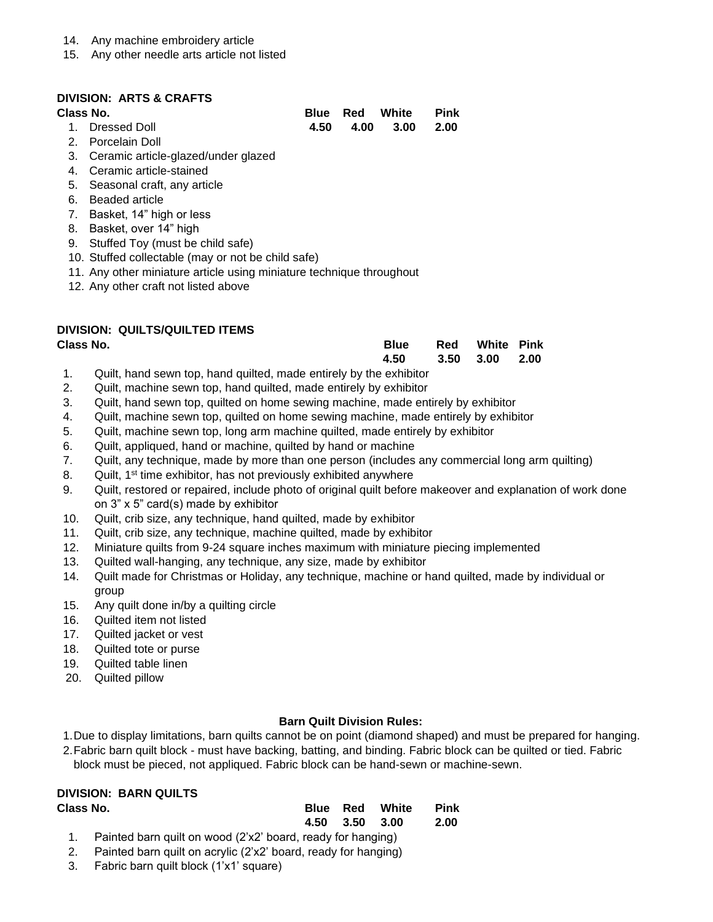- 14. Any machine embroidery article
- 15. Any other needle arts article not listed

### **DIVISION: ARTS & CRAFTS**

#### **Class No.**

| lass No.        |  | Blue Red White Pink |  |
|-----------------|--|---------------------|--|
| 1. Dressed Doll |  | 4.50 4.00 3.00 2.00 |  |

- 2. Porcelain Doll
- 3. Ceramic article-glazed/under glazed
- 4. Ceramic article-stained
- 5. Seasonal craft, any article
- 6. Beaded article
- 7. Basket, 14" high or less
- 8. Basket, over 14" high
- 9. Stuffed Toy (must be child safe)
- 10. Stuffed collectable (may or not be child safe)
- 11. Any other miniature article using miniature technique throughout
- 12. Any other craft not listed above

## **DIVISION: QUILTS/QUILTED ITEMS**

| Class No. | <b>Blue</b>         | <b>Red</b> White Pink |  |
|-----------|---------------------|-----------------------|--|
|           | 4.50 3.50 3.00 2.00 |                       |  |

- 1. Quilt, hand sewn top, hand quilted, made entirely by the exhibitor
- 2. Quilt, machine sewn top, hand quilted, made entirely by exhibitor
- 3. Quilt, hand sewn top, quilted on home sewing machine, made entirely by exhibitor
- 4. Quilt, machine sewn top, quilted on home sewing machine, made entirely by exhibitor
- 5. Quilt, machine sewn top, long arm machine quilted, made entirely by exhibitor
- 6. Quilt, appliqued, hand or machine, quilted by hand or machine
- 7. Quilt, any technique, made by more than one person (includes any commercial long arm quilting)
- 8. Quilt, 1<sup>st</sup> time exhibitor, has not previously exhibited anywhere
- 9. Quilt, restored or repaired, include photo of original quilt before makeover and explanation of work done on 3" x 5" card(s) made by exhibitor
- 10. Quilt, crib size, any technique, hand quilted, made by exhibitor
- 11. Quilt, crib size, any technique, machine quilted, made by exhibitor
- 12. Miniature quilts from 9-24 square inches maximum with miniature piecing implemented
- 13. Quilted wall-hanging, any technique, any size, made by exhibitor
- 14. Quilt made for Christmas or Holiday, any technique, machine or hand quilted, made by individual or group
- 15. Any quilt done in/by a quilting circle
- 16. Quilted item not listed
- 17. Quilted jacket or vest
- 18. Quilted tote or purse
- 19. Quilted table linen
- 20. Quilted pillow

### **Barn Quilt Division Rules:**

- 1.Due to display limitations, barn quilts cannot be on point (diamond shaped) and must be prepared for hanging.
- 2.Fabric barn quilt block must have backing, batting, and binding. Fabric block can be quilted or tied. Fabric

# block must be pieced, not appliqued. Fabric block can be hand-sewn or machine-sewn.

# **DIVISION: BARN QUILTS**

| Class No. |                                                                |  |                | <b>Blue Red White</b> | Pink |
|-----------|----------------------------------------------------------------|--|----------------|-----------------------|------|
|           |                                                                |  | 4.50 3.50 3.00 |                       | 2.00 |
|           | 1. Painted barn quilt on wood (2'x2' board, ready for hanging) |  |                |                       |      |

- 2. Painted barn quilt on acrylic (2'x2' board, ready for hanging)
- 3. Fabric barn quilt block (1'x1' square)